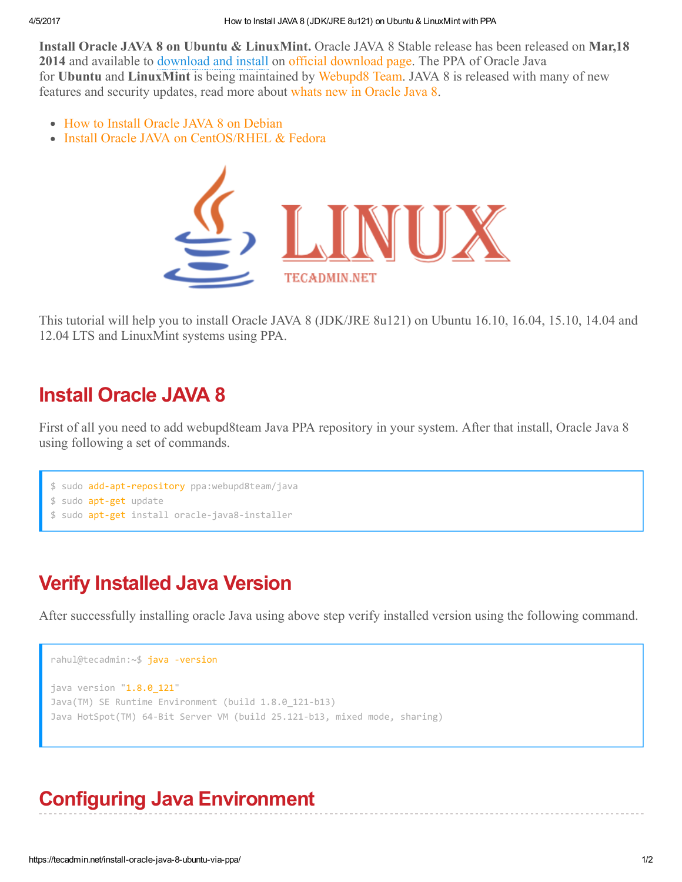Install Oracle JAVA 8 on Ubuntu & LinuxMint. Oracle JAVA 8 Stable release has been released on Mar,18 2014 and available to download and install on official [download](http://www.oracle.com/technetwork/java/javase/downloads/jdk8-downloads-2133151.html) page. The PPA of Oracle Java for Ubuntu and LinuxMint is being maintained by [Webupd8](http://www.webupd8.org/) Team. JAVA 8 is released with many of new features and security updates, read more about whats new in [Oracle](http://www.oracle.com/technetwork/java/javase/8-whats-new-2157071.html) Java 8.

- How to Install Oracle JAVA 8 on [Debian](https://tecadmin.net/install-java-8-on-debian/)
- Install Oracle JAVA on [CentOS/RHEL](https://tecadmin.net/install-java-8-on-centos-rhel-and-fedora/) & Fedora



This tutorial will help you to install Oracle JAVA 8 (JDK/JRE 8u121) on Ubuntu 16.10, 16.04, 15.10, 14.04 and 12.04 LTS and LinuxMint systems using PPA.

## Install Oracle JAVA 8

First of all you need to add webupd8team Java PPA repository in your system. After that install, Oracle Java 8 using following a set of commands.

```
$ sudo add‐apt‐repository ppa:webupd8team/java
$ sudo apt-get update
 sudo apt-get install oracle-java8-installer
```
# Verify Installed Java Version

After successfully installing oracle Java using above step verify installed version using the following command.

```
rahul@tecadmin:~$ java -version
java version "1.8.0 121"
Java(TM) SE Runtime Environment (build 1.8.0_121-b13)
Java HotSpot(TM) 64-Bit Server VM (build 25.121-b13, mixed mode, sharing)
```
# Configuring Java Environment